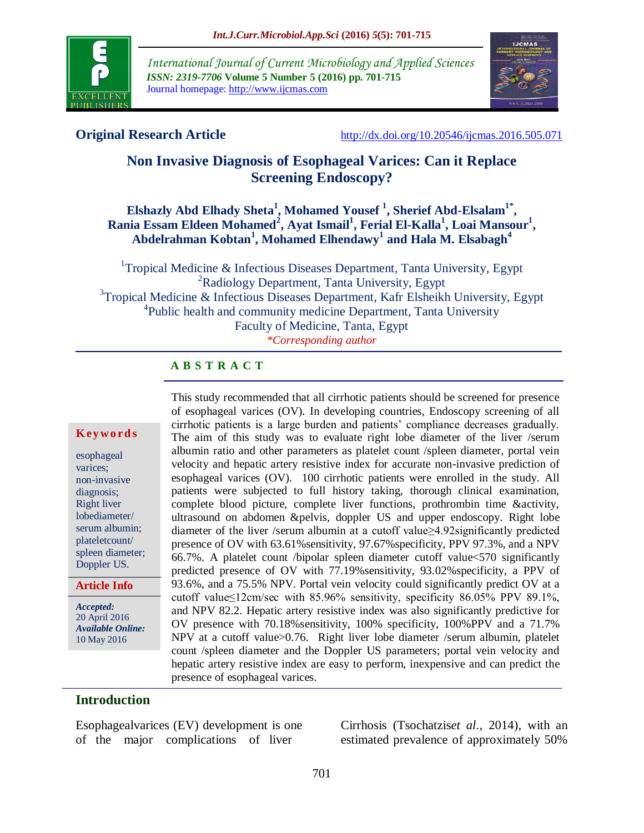

*International Journal of Current Microbiology and Applied Sciences ISSN: 2319-7706* **Volume 5 Number 5 (2016) pp. 701-715** Journal homepage: http://www.ijcmas.com



**Original Research Article** <http://dx.doi.org/10.20546/ijcmas.2016.505.071>

# **Non Invasive Diagnosis of Esophageal Varices: Can it Replace Screening Endoscopy?**

# **Elshazly Abd Elhady Sheta<sup>1</sup>, Mohamed Yousef<sup>1</sup>, Sherief Abd-Elsalam<sup>1\*</sup>, Rania Essam Eldeen Mohamed<sup>2</sup> , Ayat Ismail<sup>1</sup> , Ferial El-Kalla<sup>1</sup> , Loai Mansour<sup>1</sup> , Abdelrahman Kobtan<sup>1</sup> , Mohamed Elhendawy<sup>1</sup> and Hala M. Elsabagh<sup>4</sup>**

<sup>1</sup>Tropical Medicine & Infectious Diseases Department, Tanta University, Egypt <sup>2</sup>Radiology Department, Tanta University, Egypt <sup>3</sup>Tropical Medicine & Infectious Diseases Department, Kafr Elsheikh University, Egypt <sup>4</sup>Public health and community medicine Department, Tanta University Faculty of Medicine, Tanta, Egypt *\*Corresponding author*

#### **A B S T R A C T**

#### **K ey w o rd s**

esophageal varices; non-invasive diagnosis; Right liver lobediameter/ serum albumin; plateletcount/ spleen diameter; Doppler US.

#### **Article Info**

*Accepted:*  20 April 2016 *Available Online:* 10 May 2016

This study recommended that all cirrhotic patients should be screened for presence of esophageal varices (OV). In developing countries, Endoscopy screening of all cirrhotic patients is a large burden and patients' compliance decreases gradually. The aim of this study was to evaluate right lobe diameter of the liver /serum albumin ratio and other parameters as platelet count /spleen diameter, portal vein velocity and hepatic artery resistive index for accurate non-invasive prediction of esophageal varices (OV). 100 cirrhotic patients were enrolled in the study. All patients were subjected to full history taking, thorough clinical examination, complete blood picture, complete liver functions, prothrombin time &activity, ultrasound on abdomen &pelvis, doppler US and upper endoscopy. Right lobe diameter of the liver /serum albumin at a cutoff value≥4.92significantly predicted presence of OV with 63.61%sensitivity, 97.67%specificity, PPV 97.3%, and a NPV 66.7%. A platelet count /bipolar spleen diameter cutoff value<570 significantly predicted presence of OV with 77.19%sensitivity, 93.02%specificity, a PPV of 93.6%, and a 75.5% NPV. Portal vein velocity could significantly predict OV at a cutoff value≤12cm/sec with 85.96% sensitivity, specificity 86.05% PPV 89.1%, and NPV 82.2. Hepatic artery resistive index was also significantly predictive for OV presence with 70.18%sensitivity, 100% specificity, 100%PPV and a 71.7% NPV at a cutoff value>0.76. Right liver lobe diameter /serum albumin, platelet count /spleen diameter and the Doppler US parameters; portal vein velocity and hepatic artery resistive index are easy to perform, inexpensive and can predict the presence of esophageal varices.

#### **Introduction**

Esophagealvarices (EV) development is one of the major complications of liver

Cirrhosis (Tsochatzis*et al*., 2014), with an estimated prevalence of approximately 50%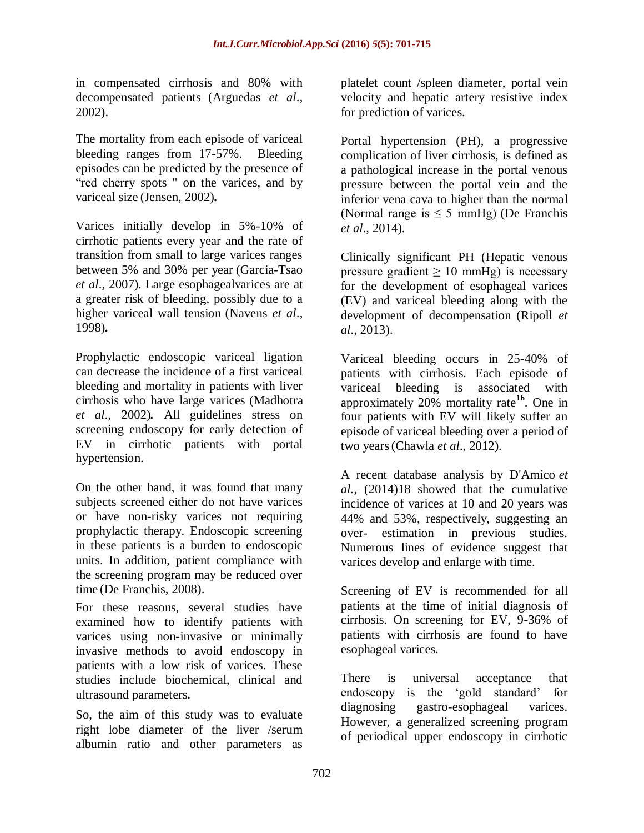in compensated cirrhosis and 80% with decompensated patients (Arguedas *et al*., 2002).

The mortality from each episode of variceal bleeding ranges from 17-57%. Bleeding episodes can be predicted by the presence of "red cherry spots " on the varices, and by variceal size (Jensen, 2002)*.*

Varices initially develop in 5%-10% of cirrhotic patients every year and the rate of transition from small to large varices ranges between 5% and 30% per year (Garcia-Tsao *et al*., 2007). Large esophagealvarices are at a greater risk of bleeding, possibly due to a higher variceal wall tension (Navens *et al*., 1998)*.*

Prophylactic endoscopic variceal ligation can decrease the incidence of a first variceal bleeding and mortality in patients with liver cirrhosis who have large varices (Madhotra *et al*., 2002)*.* All guidelines stress on screening endoscopy for early detection of EV in cirrhotic patients with portal hypertension.

On the other hand, it was found that many subjects screened either do not have varices or have non-risky varices not requiring prophylactic therapy. Endoscopic screening in these patients is a burden to endoscopic units. In addition, patient compliance with the screening program may be reduced over time (De Franchis, 2008).

For these reasons, several studies have examined how to identify patients with varices using non-invasive or minimally invasive methods to avoid endoscopy in patients with a low risk of varices. These studies include biochemical, clinical and ultrasound parameters*.*

So, the aim of this study was to evaluate right lobe diameter of the liver /serum albumin ratio and other parameters as

platelet count /spleen diameter, portal vein velocity and hepatic artery resistive index for prediction of varices.

Portal hypertension (PH), a progressive complication of liver cirrhosis, is defined as a pathological increase in the portal venous pressure between the portal vein and the inferior vena cava to higher than the normal (Normal range is  $\leq$  5 mmHg) (De Franchis *et al*., 2014).

Clinically significant PH (Hepatic venous pressure gradient  $\geq 10$  mmHg) is necessary for the development of esophageal varices (EV) and variceal bleeding along with the development of decompensation (Ripoll *et al*., 2013).

Variceal bleeding occurs in 25-40% of patients with cirrhosis. Each episode of variceal bleeding is associated with approximately 20% mortality rate**<sup>16</sup>**. One in four patients with EV will likely suffer an episode of variceal bleeding over a period of two years(Chawla *et al*., 2012).

A recent database analysis by D'Amico *et al.,* (2014)18 showed that the cumulative incidence of varices at 10 and 20 years was 44% and 53%, respectively, suggesting an over- estimation in previous studies. Numerous lines of evidence suggest that varices develop and enlarge with time.

Screening of EV is recommended for all patients at the time of initial diagnosis of cirrhosis. On screening for EV, 9-36% of patients with cirrhosis are found to have esophageal varices.

There is universal acceptance that endoscopy is the 'gold standard' for diagnosing gastro-esophageal varices. However, a generalized screening program of periodical upper endoscopy in cirrhotic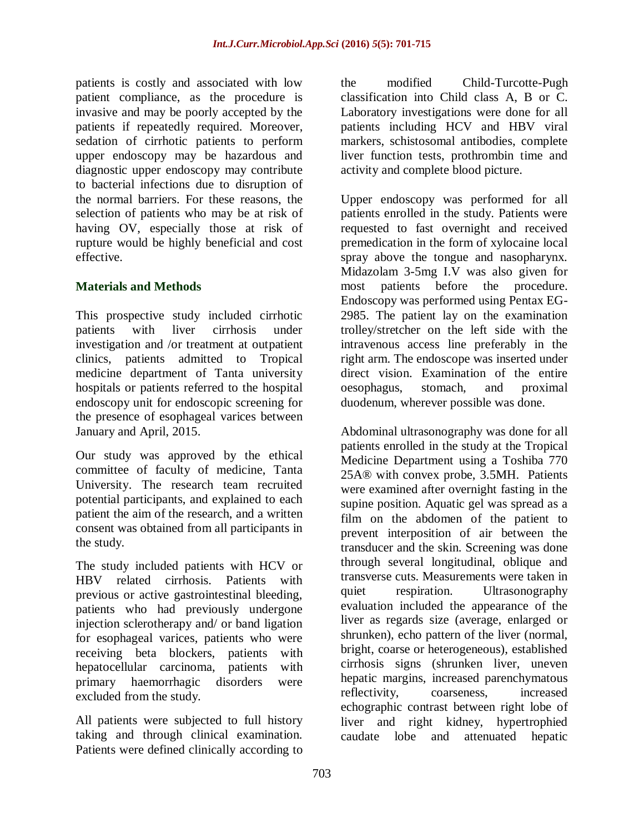patients is costly and associated with low patient compliance, as the procedure is invasive and may be poorly accepted by the patients if repeatedly required. Moreover, sedation of cirrhotic patients to perform upper endoscopy may be hazardous and diagnostic upper endoscopy may contribute to bacterial infections due to disruption of the normal barriers. For these reasons, the selection of patients who may be at risk of having OV, especially those at risk of rupture would be highly beneficial and cost effective.

# **Materials and Methods**

This prospective study included cirrhotic patients with liver cirrhosis under investigation and /or treatment at outpatient clinics, patients admitted to Tropical medicine department of Tanta university hospitals or patients referred to the hospital endoscopy unit for endoscopic screening for the presence of esophageal varices between January and April, 2015.

Our study was approved by the ethical committee of faculty of medicine, Tanta University. The research team recruited potential participants, and explained to each patient the aim of the research, and a written consent was obtained from all participants in the study.

The study included patients with HCV or HBV related cirrhosis. Patients with previous or active gastrointestinal bleeding, patients who had previously undergone injection sclerotherapy and/ or band ligation for esophageal varices, patients who were receiving beta blockers, patients with hepatocellular carcinoma, patients with primary haemorrhagic disorders were excluded from the study.

All patients were subjected to full history taking and through clinical examination. Patients were defined clinically according to

the modified Child-Turcotte-Pugh classification into Child class A, B or C. Laboratory investigations were done for all patients including HCV and HBV viral markers, schistosomal antibodies, complete liver function tests, prothrombin time and activity and complete blood picture.

Upper endoscopy was performed for all patients enrolled in the study. Patients were requested to fast overnight and received premedication in the form of xylocaine local spray above the tongue and nasopharynx. Midazolam 3-5mg I.V was also given for most patients before the procedure. Endoscopy was performed using Pentax EG-2985. The patient lay on the examination trolley/stretcher on the left side with the intravenous access line preferably in the right arm. The endoscope was inserted under direct vision. Examination of the entire oesophagus, stomach, and proximal duodenum, wherever possible was done.

Abdominal ultrasonography was done for all patients enrolled in the study at the Tropical Medicine Department using a Toshiba 770 25A® with convex probe, 3.5MH. Patients were examined after overnight fasting in the supine position. Aquatic gel was spread as a film on the abdomen of the patient to prevent interposition of air between the transducer and the skin. Screening was done through several longitudinal, oblique and transverse cuts. Measurements were taken in quiet respiration. Ultrasonography evaluation included the appearance of the liver as regards size (average, enlarged or shrunken), echo pattern of the liver (normal, bright, coarse or heterogeneous), established cirrhosis signs (shrunken liver, uneven hepatic margins, increased parenchymatous reflectivity, coarseness, increased echographic contrast between right lobe of liver and right kidney, hypertrophied caudate lobe and attenuated hepatic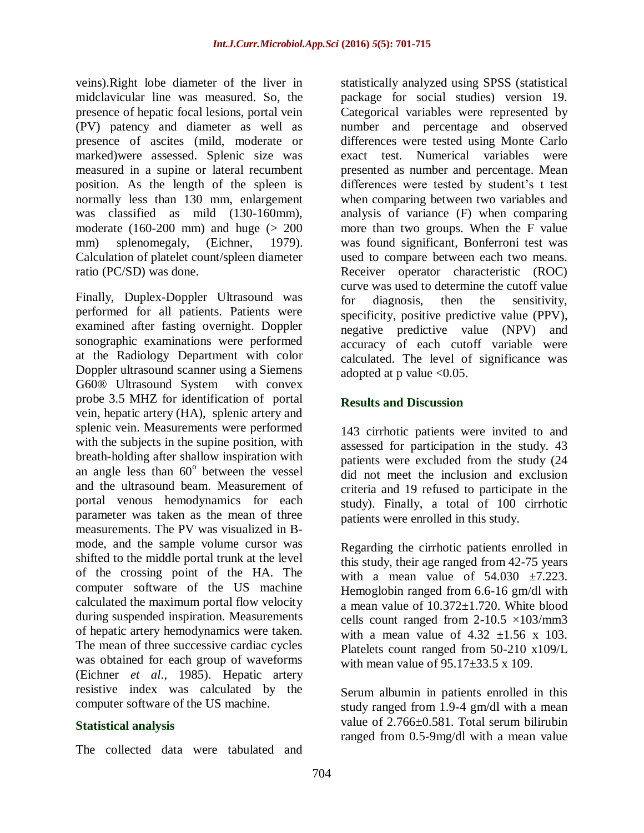veins).Right lobe diameter of the liver in midclavicular line was measured. So, the presence of hepatic focal lesions, portal vein (PV) patency and diameter as well as presence of ascites (mild, moderate or marked)were assessed. Splenic size was measured in a supine or lateral recumbent position. As the length of the spleen is normally less than 130 mm, enlargement was classified as mild (130-160mm), moderate  $(160-200)$  mm) and huge  $(> 200)$ mm) splenomegaly, (Eichner, 1979). Calculation of platelet count/spleen diameter ratio (PC/SD) was done.

Finally, Duplex-Doppler Ultrasound was performed for all patients. Patients were examined after fasting overnight. Doppler sonographic examinations were performed at the Radiology Department with color Doppler ultrasound scanner using a Siemens G60® Ultrasound System with convex probe 3.5 MHZ for identification of portal vein, hepatic artery (HA), splenic artery and splenic vein. Measurements were performed with the subjects in the supine position, with breath-holding after shallow inspiration with an angle less than  $60^\circ$  between the vessel and the ultrasound beam. Measurement of portal venous hemodynamics for each parameter was taken as the mean of three measurements. The PV was visualized in Bmode, and the sample volume cursor was shifted to the middle portal trunk at the level of the crossing point of the HA. The computer software of the US machine calculated the maximum portal flow velocity during suspended inspiration. Measurements of hepatic artery hemodynamics were taken. The mean of three successive cardiac cycles was obtained for each group of waveforms (Eichner *et al*., 1985). Hepatic artery resistive index was calculated by the computer software of the US machine.

#### **Statistical analysis**

The collected data were tabulated and

statistically analyzed using SPSS (statistical package for social studies) version 19. Categorical variables were represented by number and percentage and observed differences were tested using Monte Carlo exact test. Numerical variables were presented as number and percentage. Mean differences were tested by student's t test when comparing between two variables and analysis of variance (F) when comparing more than two groups. When the F value was found significant, Bonferroni test was used to compare between each two means. Receiver operator characteristic (ROC) curve was used to determine the cutoff value for diagnosis, then the sensitivity, specificity, positive predictive value (PPV), negative predictive value (NPV) and accuracy of each cutoff variable were calculated. The level of significance was adopted at p value <0.05.

# **Results and Discussion**

143 cirrhotic patients were invited to and assessed for participation in the study. 43 patients were excluded from the study (24 did not meet the inclusion and exclusion criteria and 19 refused to participate in the study). Finally, a total of 100 cirrhotic patients were enrolled in this study.

Regarding the cirrhotic patients enrolled in this study, their age ranged from 42-75 years with a mean value of  $54.030 \pm 7.223$ . Hemoglobin ranged from 6.6-16 gm/dl with a mean value of 10.372±1.720. White blood cells count ranged from  $2-10.5 \times 103$ /mm3 with a mean value of  $4.32 \pm 1.56 \times 103$ . Platelets count ranged from 50-210 x109/L with mean value of  $95.17\pm33.5 \times 109$ .

Serum albumin in patients enrolled in this study ranged from 1.9-4 gm/dl with a mean value of 2.766±0.581. Total serum bilirubin ranged from 0.5-9mg/dl with a mean value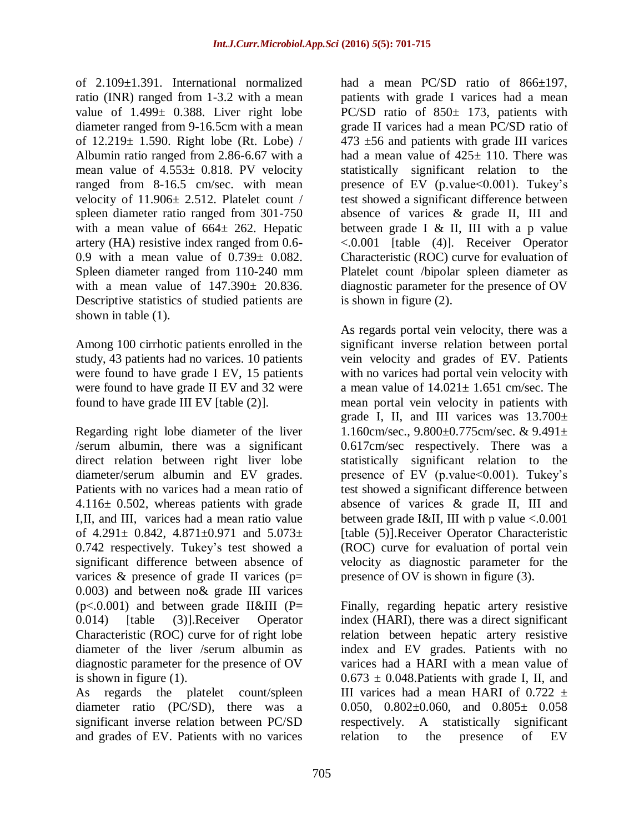of 2.109±1.391. International normalized ratio (INR) ranged from 1-3.2 with a mean value of 1.499± 0.388. Liver right lobe diameter ranged from 9-16.5cm with a mean of 12.219± 1.590. Right lobe (Rt. Lobe) / Albumin ratio ranged from 2.86-6.67 with a mean value of 4.553± 0.818. PV velocity ranged from 8-16.5 cm/sec. with mean velocity of 11.906± 2.512. Platelet count / spleen diameter ratio ranged from 301-750 with a mean value of  $664 \pm 262$ . Hepatic artery (HA) resistive index ranged from 0.6- 0.9 with a mean value of  $0.739 \pm 0.082$ . Spleen diameter ranged from 110-240 mm with a mean value of 147.390± 20.836. Descriptive statistics of studied patients are shown in table (1).

Among 100 cirrhotic patients enrolled in the study, 43 patients had no varices. 10 patients were found to have grade I EV, 15 patients were found to have grade II EV and 32 were found to have grade III EV [table (2)].

Regarding right lobe diameter of the liver /serum albumin, there was a significant direct relation between right liver lobe diameter/serum albumin and EV grades. Patients with no varices had a mean ratio of 4.116± 0.502, whereas patients with grade I,II, and III, varices had a mean ratio value of 4.291 $\pm$  0.842, 4.871 $\pm$ 0.971 and 5.073 $\pm$ 0.742 respectively. Tukey's test showed a significant difference between absence of varices  $\&$  presence of grade II varices ( $p=$ 0.003) and between no& grade III varices  $(p<.0.001)$  and between grade II&III (P= 0.014) [table (3)].Receiver Operator Characteristic (ROC) curve for of right lobe diameter of the liver /serum albumin as diagnostic parameter for the presence of OV is shown in figure (1).

As regards the platelet count/spleen diameter ratio (PC/SD), there was a significant inverse relation between PC/SD and grades of EV. Patients with no varices

had a mean PC/SD ratio of 866 $\pm$ 197, patients with grade I varices had a mean PC/SD ratio of 850± 173, patients with grade II varices had a mean PC/SD ratio of  $473 \pm 56$  and patients with grade III varices had a mean value of  $425 \pm 110$ . There was statistically significant relation to the presence of EV (p.value < 0.001). Tukey's test showed a significant difference between absence of varices & grade II, III and between grade I & II, III with a p value <.0.001 [table (4)]. Receiver Operator Characteristic (ROC) curve for evaluation of Platelet count /bipolar spleen diameter as diagnostic parameter for the presence of OV is shown in figure (2).

As regards portal vein velocity, there was a significant inverse relation between portal vein velocity and grades of EV. Patients with no varices had portal vein velocity with a mean value of  $14.021 \pm 1.651$  cm/sec. The mean portal vein velocity in patients with grade I, II, and III varices was  $13.700 \pm$ 1.160cm/sec., 9.800±0.775cm/sec. & 9.491± 0.617cm/sec respectively. There was a statistically significant relation to the presence of EV (p.value $\leq 0.001$ ). Tukey's test showed a significant difference between absence of varices & grade II, III and between grade I&II, III with p value  $< 0.001$ [table (5)].Receiver Operator Characteristic (ROC) curve for evaluation of portal vein velocity as diagnostic parameter for the presence of OV is shown in figure (3).

Finally, regarding hepatic artery resistive index (HARI), there was a direct significant relation between hepatic artery resistive index and EV grades. Patients with no varices had a HARI with a mean value of  $0.673 \pm 0.048$ . Patients with grade I, II, and III varices had a mean HARI of  $0.722 \pm$ 0.050,  $0.802 \pm 0.060$ , and  $0.805 \pm 0.058$ respectively. A statistically significant relation to the presence of EV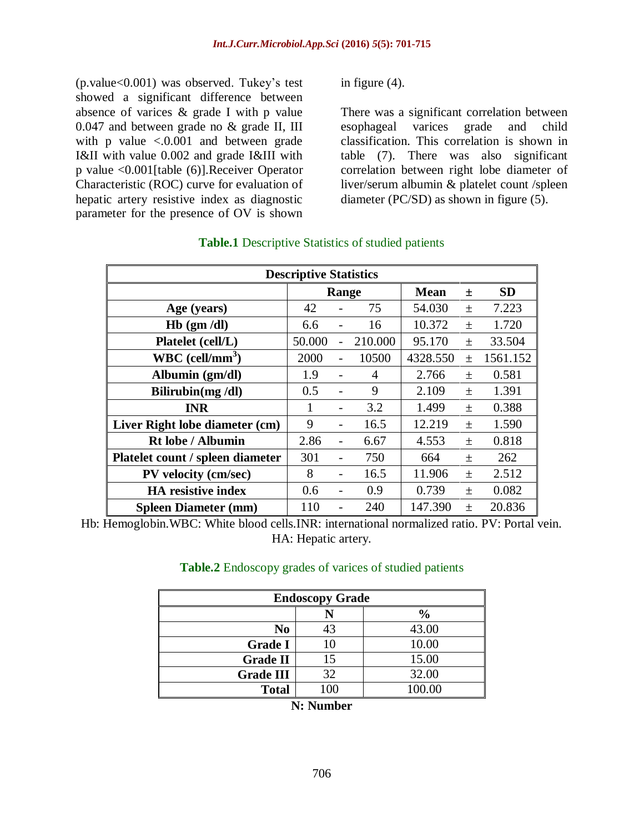(p.value<0.001) was observed. Tukey's test showed a significant difference between absence of varices & grade I with p value 0.047 and between grade no & grade II, III with p value  $\leq 0.001$  and between grade I&II with value 0.002 and grade I&III with p value <0.001[table (6)].Receiver Operator Characteristic (ROC) curve for evaluation of hepatic artery resistive index as diagnostic parameter for the presence of OV is shown

in figure (4).

There was a significant correlation between esophageal varices grade and child classification. This correlation is shown in table (7). There was also significant correlation between right lobe diameter of liver/serum albumin & platelet count /spleen diameter (PC/SD) as shown in figure (5).

| <b>Descriptive Statistics</b>    |        |                |         |             |        |           |  |  |  |  |  |  |  |
|----------------------------------|--------|----------------|---------|-------------|--------|-----------|--|--|--|--|--|--|--|
|                                  |        | Range          |         | <b>Mean</b> | $\pm$  | <b>SD</b> |  |  |  |  |  |  |  |
| Age (years)                      | 42     |                | 75      | 54.030      | $+$    | 7.223     |  |  |  |  |  |  |  |
| $Hb$ (gm /dl)                    | 6.6    |                | 16      | 10.372      | $^{+}$ | 1.720     |  |  |  |  |  |  |  |
| Platelet (cell/L)                | 50.000 |                | 210.000 | 95.170      | $^{+}$ | 33.504    |  |  |  |  |  |  |  |
| $WBC$ (cell/mm <sup>3</sup> )    | 2000   | $\overline{a}$ | 10500   | 4328.550    | $\pm$  | 1561.152  |  |  |  |  |  |  |  |
| Albumin (gm/dl)                  | 1.9    |                | 4       | 2.766       | $+$    | 0.581     |  |  |  |  |  |  |  |
| Bilirubin $(mg/dl)$              | 0.5    |                | 9       | 2.109       | $\pm$  | 1.391     |  |  |  |  |  |  |  |
| <b>INR</b>                       | 1      |                | 3.2     | 1.499       | $+$    | 0.388     |  |  |  |  |  |  |  |
| Liver Right lobe diameter (cm)   | 9      |                | 16.5    | 12.219      | $\pm$  | 1.590     |  |  |  |  |  |  |  |
| <b>Rt lobe / Albumin</b>         | 2.86   |                | 6.67    | 4.553       | $+$    | 0.818     |  |  |  |  |  |  |  |
| Platelet count / spleen diameter | 301    |                | 750     | 664         | $\pm$  | 262       |  |  |  |  |  |  |  |
| PV velocity (cm/sec)             | 8      |                | 16.5    | 11.906      | $\pm$  | 2.512     |  |  |  |  |  |  |  |
| <b>HA</b> resistive index        | 0.6    |                | 0.9     | 0.739       | $\pm$  | 0.082     |  |  |  |  |  |  |  |
| <b>Spleen Diameter (mm)</b>      | 110    |                | 240     | 147.390     | $+$    | 20.836    |  |  |  |  |  |  |  |

# **Table.1** Descriptive Statistics of studied patients

Hb: Hemoglobin.WBC: White blood cells.INR: international normalized ratio. PV: Portal vein. HA: Hepatic artery.

#### **Table.2** Endoscopy grades of varices of studied patients

| <b>Endoscopy Grade</b> |     |               |  |  |  |  |  |  |  |  |  |  |
|------------------------|-----|---------------|--|--|--|--|--|--|--|--|--|--|
|                        |     | $\frac{6}{6}$ |  |  |  |  |  |  |  |  |  |  |
| No                     | 43  | 43.00         |  |  |  |  |  |  |  |  |  |  |
| <b>Grade I</b>         |     | 10.00         |  |  |  |  |  |  |  |  |  |  |
| <b>Grade II</b>        | 15  | 15.00         |  |  |  |  |  |  |  |  |  |  |
| <b>Grade III</b>       | 32  | 32.00         |  |  |  |  |  |  |  |  |  |  |
| <b>Total</b>           | 100 | 100.00        |  |  |  |  |  |  |  |  |  |  |

**N: Number**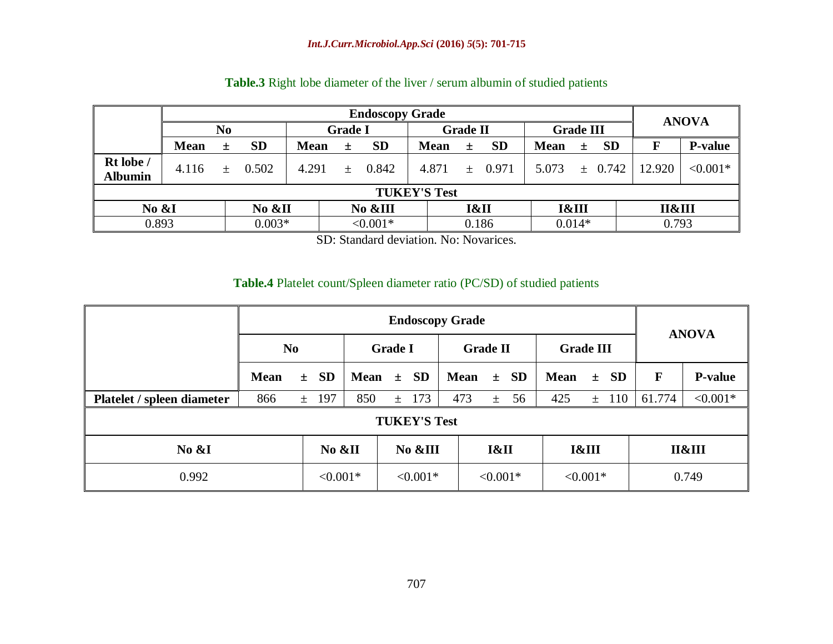|                             | <b>Endoscopy Grade</b> |     |           |                |     |            |                 |       |             |                  |          |              |        |                |  |  |
|-----------------------------|------------------------|-----|-----------|----------------|-----|------------|-----------------|-------|-------------|------------------|----------|--------------|--------|----------------|--|--|
|                             |                        |     |           | <b>Grade I</b> |     |            | <b>Grade II</b> |       |             | <b>Grade III</b> |          | <b>ANOVA</b> |        |                |  |  |
|                             | <b>Mean</b>            | $+$ | <b>SD</b> | <b>Mean</b>    | $+$ | <b>SD</b>  | <b>Mean</b>     | $+$   | <b>SD</b>   | <b>Mean</b>      | 土        | <b>SD</b>    |        | <b>P-value</b> |  |  |
| Rt lobe /<br><b>Albumin</b> | 4.116                  | $+$ | 0.502     | 4.291          | $+$ | 0.842      | 4.871           |       | $\pm$ 0.971 | 5.073            |          | $\pm$ 0.742  | 12.920 | $< 0.001*$     |  |  |
|                             | <b>TUKEY'S Test</b>    |     |           |                |     |            |                 |       |             |                  |          |              |        |                |  |  |
|                             | No &I<br>No &II        |     |           | No &III        |     | I&II       |                 |       | I&III       |                  |          | II&III       |        |                |  |  |
| 0.893                       |                        |     | $0.003*$  |                |     | $< 0.001*$ |                 | 0.186 |             |                  | $0.014*$ |              |        | 0.793          |  |  |

# **Table.3** Right lobe diameter of the liver / serum albumin of studied patients

SD: Standard deviation. No: Novarices.

#### **Table.4** Platelet count/Spleen diameter ratio (PC/SD) of studied patients

| <b>Endoscopy Grade</b>     |                     |        |          |             |                |            |      |                 |            |          |                  |            |           |              |                |  |  |
|----------------------------|---------------------|--------|----------|-------------|----------------|------------|------|-----------------|------------|----------|------------------|------------|-----------|--------------|----------------|--|--|
|                            | N <sub>0</sub>      |        |          |             | <b>Grade I</b> |            |      | <b>Grade II</b> |            |          | <b>Grade III</b> |            |           | <b>ANOVA</b> |                |  |  |
|                            | <b>Mean</b>         |        | $\pm$ SD | <b>Mean</b> |                | $\pm$ SD   |      | <b>Mean</b>     |            | $\pm$ SD | <b>Mean</b>      | $\pm$      | SD        | F            | <b>P-value</b> |  |  |
| Platelet / spleen diameter | 866                 |        | $±$ 197  | 850         | $\pm$          | 173        |      | 473             | $\pm$      | 56       | 425              |            | $\pm$ 110 | 61.774       | $< 0.001*$     |  |  |
|                            | <b>TUKEY'S Test</b> |        |          |             |                |            |      |                 |            |          |                  |            |           |              |                |  |  |
| No &I                      |                     | No &II |          | No &III     |                |            | I&II |                 | I&III      |          |                  | П&Ш        |           |              |                |  |  |
| 0.992<br>$< 0.001*$        |                     |        |          |             |                | $< 0.001*$ |      |                 | $< 0.001*$ |          |                  | $< 0.001*$ |           |              | 0.749          |  |  |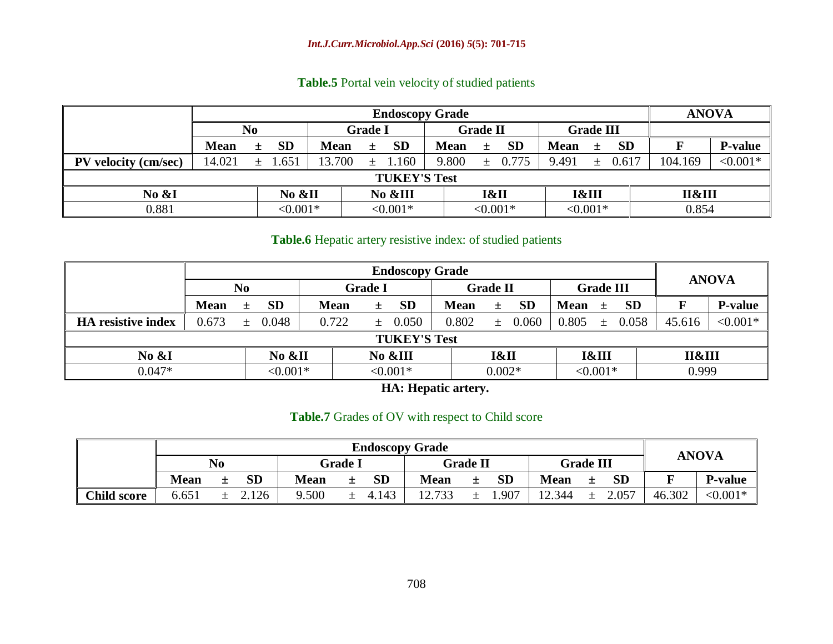# **Table.5** Portal vein velocity of studied patients

|                      | <b>Endoscopy Grade</b> |   |             |             |                |           |             |                 |             |             |                  |           |         |                |  |
|----------------------|------------------------|---|-------------|-------------|----------------|-----------|-------------|-----------------|-------------|-------------|------------------|-----------|---------|----------------|--|
|                      | No                     |   |             |             | <b>Grade I</b> |           |             | <b>Grade II</b> |             |             | <b>Grade III</b> |           |         |                |  |
|                      | <b>Mean</b>            | 土 | <b>SD</b>   | <b>Mean</b> | 土              | <b>SD</b> | <b>Mean</b> | $\pm$           | <b>SD</b>   | <b>Mean</b> | $\pm$            | <b>SD</b> |         | <b>P-value</b> |  |
| PV velocity (cm/sec) | 14.021                 |   | $\pm$ 1.651 | 13.700      | 土              | 1.160     | 9.800       |                 | $\pm$ 0.775 | 9.491       | $\pm$            | 0.617     | 104.169 | ${<}0.001*$    |  |
|                      | <b>TUKEY'S Test</b>    |   |             |             |                |           |             |                 |             |             |                  |           |         |                |  |
| No &I<br>No &II      |                        |   |             | No &III     |                |           |             | I&II            |             | I&III       |                  |           | II&III  |                |  |
| 0.881                | $< 0.001*$             |   |             |             | $< 0.001*$     |           |             | $< 0.001*$      |             |             | $< 0.001*$       |           | 0.854   |                |  |

#### **Table.6** Hepatic artery resistive index: of studied patients

|                           | <b>Endoscopy Grade</b> |       |            |  |                |     |           |             |                 |           |             |                  |           |        |                |  |  |
|---------------------------|------------------------|-------|------------|--|----------------|-----|-----------|-------------|-----------------|-----------|-------------|------------------|-----------|--------|----------------|--|--|
|                           | N <sub>0</sub>         |       |            |  | <b>Grade I</b> |     |           |             | <b>Grade II</b> |           |             | <b>Grade III</b> |           |        | <b>ANOVA</b>   |  |  |
|                           | <b>Mean</b>            | 土     | <b>SD</b>  |  | <b>Mean</b>    | 土   | <b>SD</b> | <b>Mean</b> | 土               | <b>SD</b> | <b>Mean</b> | ±.               | <b>SD</b> | F      | <b>P-value</b> |  |  |
| <b>HA</b> resistive index | 0.673                  | $\pm$ | 0.048      |  | 0.722          | $+$ | 0.050     | 0.802       | $\pm$           | 0.060     | 0.805       | $\pm$            | 0.058     | 45.616 | $< 0.001*$     |  |  |
|                           | <b>TUKEY'S Test</b>    |       |            |  |                |     |           |             |                 |           |             |                  |           |        |                |  |  |
| No $&I$                   | No &II                 |       |            |  | No &III        |     |           |             | I&II            |           |             | I&III            |           | II&III |                |  |  |
| $0.047*$                  |                        |       | $< 0.001*$ |  | $< 0.001*$     |     |           | $0.002*$    |                 |           | $< 0.001*$  |                  |           | 0.999  |                |  |  |

**HA: Hepatic artery.**

#### **Table.7** Grades of OV with respect to Child score

|                    | <b>Endoscopy Grade</b> |    |           |                |   |                   |                 |  |           |                  |   |              |        |                |  |
|--------------------|------------------------|----|-----------|----------------|---|-------------------|-----------------|--|-----------|------------------|---|--------------|--------|----------------|--|
|                    |                        | No |           | <b>Grade I</b> |   |                   | <b>Grade II</b> |  |           | <b>Grade III</b> |   | <b>ANOVA</b> |        |                |  |
|                    | Mean                   | ᆂ  | <b>SD</b> | <b>Mean</b>    |   | <b>SD</b>         | <b>Mean</b>     |  | <b>SD</b> | <b>Mean</b>      | ᆂ | <b>SD</b>    |        | <b>P-value</b> |  |
| <b>Child score</b> | 6.651                  |    | .126      | 9.500          | 土 | 4.143<br>$\Delta$ | 12.733          |  | .907      | 12.344           |   | 2.057        | 46.302 | $< 0.001*$     |  |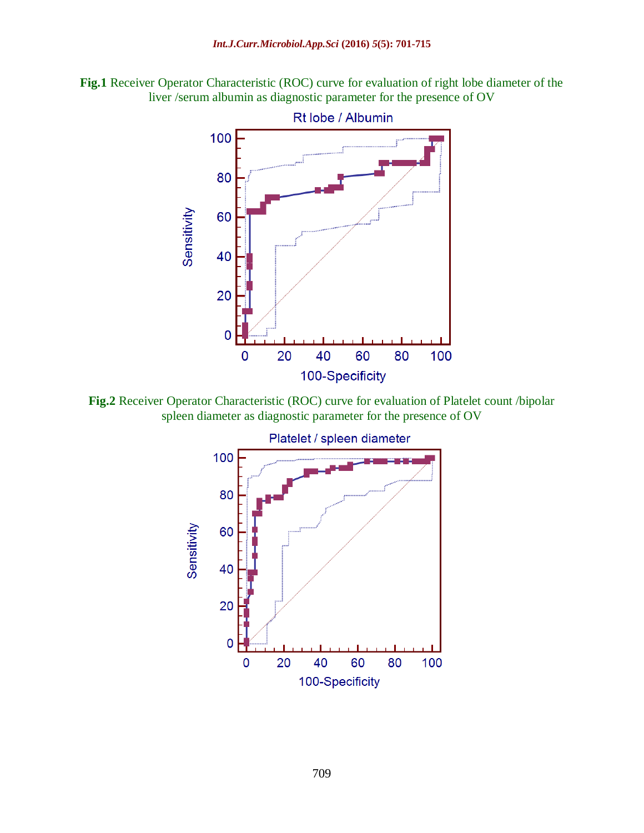**Fig.1** Receiver Operator Characteristic (ROC) curve for evaluation of right lobe diameter of the liver /serum albumin as diagnostic parameter for the presence of OV



**Fig.2** Receiver Operator Characteristic (ROC) curve for evaluation of Platelet count /bipolar spleen diameter as diagnostic parameter for the presence of OV

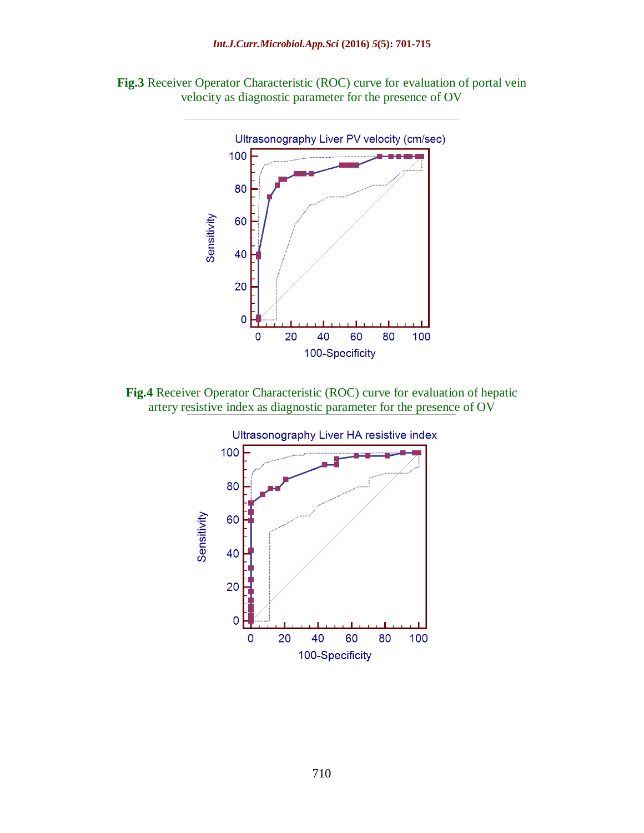



**Fig.4** Receiver Operator Characteristic (ROC) curve for evaluation of hepatic artery resistive index as diagnostic parameter for the presence of OV

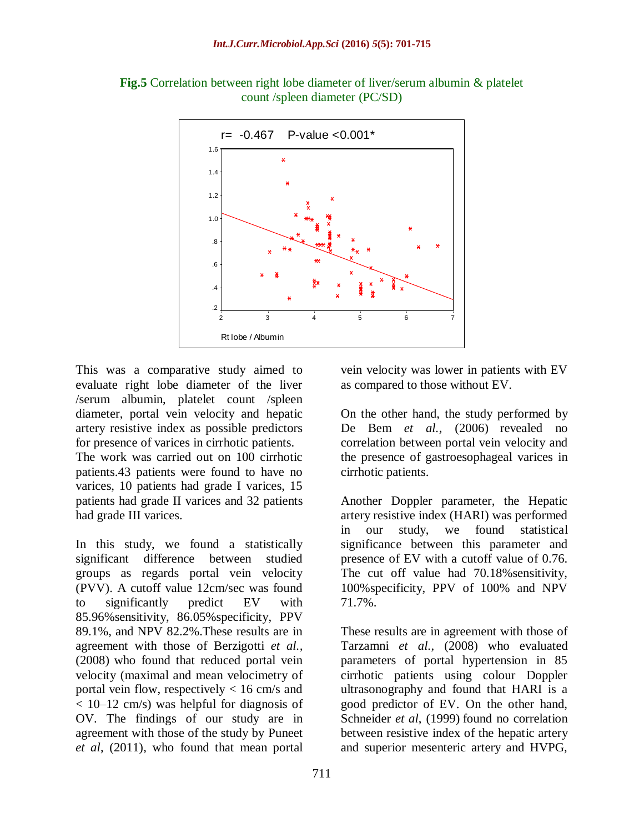

**Fig.5** Correlation between right lobe diameter of liver/serum albumin & platelet count /spleen diameter (PC/SD)

This was a comparative study aimed to evaluate right lobe diameter of the liver /serum albumin, platelet count /spleen diameter, portal vein velocity and hepatic artery resistive index as possible predictors for presence of varices in cirrhotic patients.

The work was carried out on 100 cirrhotic patients.43 patients were found to have no varices, 10 patients had grade I varices, 15 patients had grade II varices and 32 patients had grade III varices.

In this study, we found a statistically significant difference between studied groups as regards portal vein velocity (PVV). A cutoff value 12cm/sec was found to significantly predict EV with 85.96%sensitivity, 86.05%specificity, PPV 89.1%, and NPV 82.2%.These results are in agreement with those of Berzigotti *et al.,* (2008) who found that reduced portal vein velocity (maximal and mean velocimetry of portal vein flow, respectively  $< 16$  cm/s and < 10–12 cm/s) was helpful for diagnosis of OV. The findings of our study are in agreement with those of the study by Puneet *et al*, (2011), who found that mean portal

vein velocity was lower in patients with EV as compared to those without EV.

On the other hand, the study performed by De Bem *et al.,* (2006) revealed no correlation between portal vein velocity and the presence of gastroesophageal varices in cirrhotic patients.

Another Doppler parameter, the Hepatic artery resistive index (HARI) was performed in our study, we found statistical significance between this parameter and presence of EV with a cutoff value of 0.76. The cut off value had 70.18% sensitivity, 100%specificity, PPV of 100% and NPV 71.7%.

These results are in agreement with those of Tarzamni *et al.,* (2008) who evaluated parameters of portal hypertension in 85 cirrhotic patients using colour Doppler ultrasonography and found that HARI is a good predictor of EV. On the other hand, Schneider *et al*, (1999) found no correlation between resistive index of the hepatic artery and superior mesenteric artery and HVPG,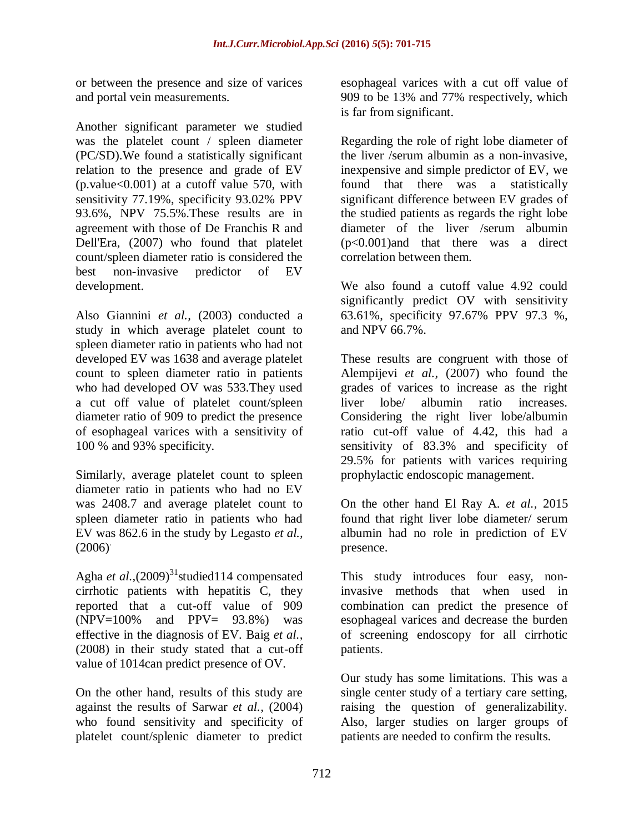or between the presence and size of varices and portal vein measurements.

Another significant parameter we studied was the platelet count / spleen diameter (PC/SD).We found a statistically significant relation to the presence and grade of EV  $(p.value < 0.001)$  at a cutoff value 570, with sensitivity 77.19%, specificity 93.02% PPV 93.6%, NPV 75.5%.These results are in agreement with those of De Franchis R and Dell'Era, (2007) who found that platelet count/spleen diameter ratio is considered the best non-invasive predictor of EV development.

Also Giannini *et al.,* (2003) conducted a study in which average platelet count to spleen diameter ratio in patients who had not developed EV was 1638 and average platelet count to spleen diameter ratio in patients who had developed OV was 533.They used a cut off value of platelet count/spleen diameter ratio of 909 to predict the presence of esophageal varices with a sensitivity of 100 % and 93% specificity.

Similarly, average platelet count to spleen diameter ratio in patients who had no EV was 2408.7 and average platelet count to spleen diameter ratio in patients who had EV was 862.6 in the study by Legasto *et al.,*  $(2006)$ <sup>.</sup>

Agha et al., (2009)<sup>31</sup>studied114 compensated cirrhotic patients with hepatitis C, they reported that a cut-off value of 909  $(NPV=100\%$  and  $PPV= 93.8\%$  was effective in the diagnosis of EV. Baig *et al.,* (2008) in their study stated that a cut-off value of 1014can predict presence of OV.

On the other hand, results of this study are against the results of Sarwar *et al.,* (2004) who found sensitivity and specificity of platelet count/splenic diameter to predict

esophageal varices with a cut off value of 909 to be 13% and 77% respectively, which is far from significant.

Regarding the role of right lobe diameter of the liver /serum albumin as a non-invasive, inexpensive and simple predictor of EV, we found that there was a statistically significant difference between EV grades of the studied patients as regards the right lobe diameter of the liver /serum albumin (p<0.001)and that there was a direct correlation between them.

We also found a cutoff value 4.92 could significantly predict OV with sensitivity 63.61%, specificity 97.67% PPV 97.3 %, and NPV 66.7%.

These results are congruent with those of Alempijevi *et al.,* (2007) who found the grades of varices to increase as the right liver lobe/ albumin ratio increases. Considering the right liver lobe/albumin ratio cut-off value of 4.42, this had a sensitivity of 83.3% and specificity of 29.5% for patients with varices requiring prophylactic endoscopic management.

On the other hand El Ray A. *et al.,* 2015 found that right liver lobe diameter/ serum albumin had no role in prediction of EV presence.

This study introduces four easy, noninvasive methods that when used in combination can predict the presence of esophageal varices and decrease the burden of screening endoscopy for all cirrhotic patients.

Our study has some limitations. This was a single center study of a tertiary care setting, raising the question of generalizability. Also, larger studies on larger groups of patients are needed to confirm the results.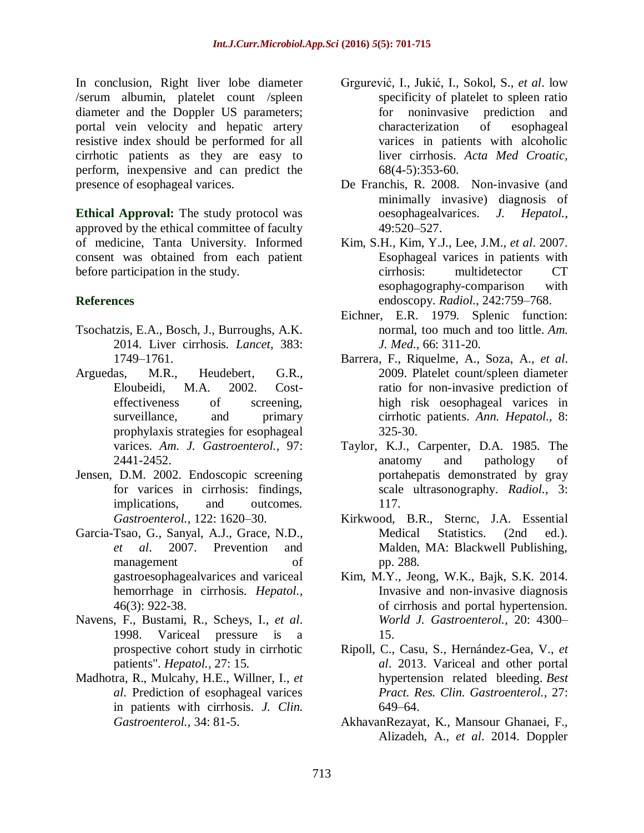In conclusion, Right liver lobe diameter /serum albumin, platelet count /spleen diameter and the Doppler US parameters; portal vein velocity and hepatic artery resistive index should be performed for all cirrhotic patients as they are easy to perform, inexpensive and can predict the presence of esophageal varices.

**Ethical Approval:** The study protocol was approved by the ethical committee of faculty of medicine, Tanta University. Informed consent was obtained from each patient before participation in the study.

# **References**

- Tsochatzis, E.A., Bosch, J., Burroughs, A.K. 2014. Liver cirrhosis. *Lancet,* 383: 1749–1761.
- Arguedas, M.R., Heudebert, G.R., Eloubeidi, M.A. 2002. Costeffectiveness of screening, surveillance, and primary prophylaxis strategies for esophageal varices. *Am. J. Gastroenterol.,* 97: 2441-2452.
- Jensen, D.M. 2002. Endoscopic screening for varices in cirrhosis: findings, implications, and outcomes. *Gastroenterol.,* 122: 1620–30.
- Garcia-Tsao, G., Sanyal, A.J., Grace, N.D., *et al*. 2007. Prevention and management of gastroesophagealvarices and variceal hemorrhage in cirrhosis. *Hepatol.,* 46(3): 922-38.
- Navens, F., Bustami, R., Scheys, I., *et al*. 1998. Variceal pressure is a prospective cohort study in cirrhotic patients". *Hepatol.,* 27: 15.
- Madhotra, R., Mulcahy, H.E., Willner, I., *et al*. Prediction of esophageal varices in patients with cirrhosis. *J. Clin. Gastroenterol.,* 34: 81-5.
- [Grgurević,](http://www.ncbi.nlm.nih.gov/pubmed/?term=Grgurevi%C4%87%20I%5BAuthor%5D&cauthor=true&cauthor_uid=26285468) I., [Jukić,](http://www.ncbi.nlm.nih.gov/pubmed/?term=Juki%C4%87%20I%5BAuthor%5D&cauthor=true&cauthor_uid=26285468) I., [Sokol,](http://www.ncbi.nlm.nih.gov/pubmed/?term=Sokol%20S%5BAuthor%5D&cauthor=true&cauthor_uid=26285468) S., *et al*. low specificity of platelet to spleen ratio for noninvasive prediction and characterization of esophageal varices in patients with alcoholic liver cirrhosis. *[Acta Med Croatic,](http://www.ncbi.nlm.nih.gov/pubmed/26285468)* 68(4-5):353-60.
- De Franchis, R. 2008. Non-invasive (and minimally invasive) diagnosis of oesophagealvarices. *J. Hepatol.*, 49:520–527.
- Kim, S.H., Kim, Y.J., Lee, J.M., *et al*. 2007. Esophageal varices in patients with cirrhosis: multidetector CT esophagography-comparison with endoscopy. *Radiol.,* 242:759–768.
- Eichner, E.R. 1979. Splenic function: normal, too much and too little. *Am. J. Med.,* 66: 311-20.
- Barrera, F., Riquelme, A., Soza, A., *et al*. 2009. Platelet count/spleen diameter ratio for non-invasive prediction of high risk oesophageal varices in cirrhotic patients. *Ann. Hepatol.,* 8: 325-30.
- Taylor, K.J., Carpenter, D.A. 1985. The anatomy and pathology of portahepatis demonstrated by gray scale ultrasonography. *Radiol.,* 3: 117.
- Kirkwood, B.R., Sternc, J.A. Essential Medical Statistics. (2nd ed.). Malden, MA: Blackwell Publishing, pp. 288.
- Kim, M.Y., Jeong, W.K., Bajk, S.K. 2014. Invasive and non-invasive diagnosis of cirrhosis and portal hypertension. *World J. Gastroenterol.,* 20: 4300– 15.
- Ripoll, C., Casu, S., Hernández-Gea, V., *et al*. 2013. Variceal and other portal hypertension related bleeding. *Best Pract. Res. Clin. Gastroenterol.,* 27: 649–64.
- AkhavanRezayat, K., Mansour Ghanaei, F., Alizadeh, A., *et al*. 2014. Doppler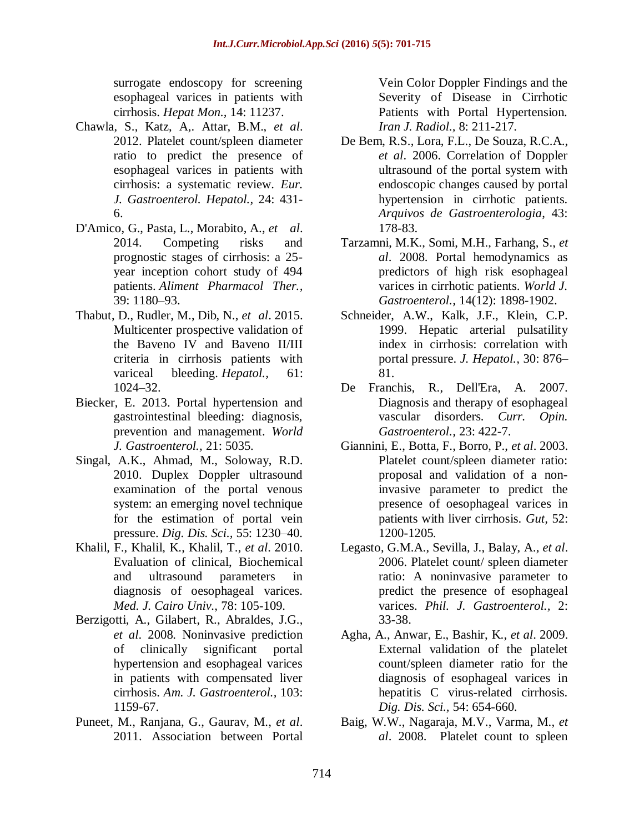surrogate endoscopy for screening esophageal varices in patients with cirrhosis. *Hepat Mon.,* 14: 11237.

- Chawla, S., Katz, A,. Attar, B.M., *et al*. 2012. Platelet count/spleen diameter ratio to predict the presence of esophageal varices in patients with cirrhosis: a systematic review. *Eur. J. Gastroenterol. Hepatol.,* 24: 431- 6.
- D'Amico, G., Pasta, L., Morabito, A., *et al*. 2014. Competing risks and prognostic stages of cirrhosis: a 25 year inception cohort study of 494 patients. *Aliment Pharmacol Ther.,* 39: 1180–93.
- Thabut, D., Rudler, M., Dib, N., *et al*. 2015. Multicenter prospective validation of the Baveno IV and Baveno II/III criteria in cirrhosis patients with variceal bleeding. *Hepatol.,* 61: 1024–32.
- Biecker, E. 2013. Portal hypertension and gastrointestinal bleeding: diagnosis, prevention and management. *World J. Gastroenterol.,* 21: 5035.
- Singal, A.K., Ahmad, M., Soloway, R.D. 2010. Duplex Doppler ultrasound examination of the portal venous system: an emerging novel technique for the estimation of portal vein pressure. *Dig. Dis. Sci.,* 55: 1230–40.
- Khalil, F., Khalil, K., Khalil, T., *et al*. 2010. Evaluation of clinical, Biochemical and ultrasound parameters in diagnosis of oesophageal varices. *Med. J. Cairo Univ.,* 78: 105-109.
- Berzigotti, A., Gilabert, R., Abraldes, J.G., *et al*. 2008. Noninvasive prediction of clinically significant portal hypertension and esophageal varices in patients with compensated liver cirrhosis. *Am. J. Gastroenterol.,* 103: 1159-67.
- Puneet, M., Ranjana, G., Gaurav, M., *et al*. 2011. Association between Portal

Vein Color Doppler Findings and the Severity of Disease in Cirrhotic Patients with Portal Hypertension. *Iran J. Radiol.,* 8: 211-217.

- De Bem, R.S., Lora, F.L., De Souza, R.C.A., *et al*. 2006. Correlation of Doppler ultrasound of the portal system with endoscopic changes caused by portal hypertension in cirrhotic patients. *Arquivos de Gastroenterologia*, 43: 178-83.
- Tarzamni, M.K., Somi, M.H., Farhang, S., *et al*. 2008. Portal hemodynamics as predictors of high risk esophageal varices in cirrhotic patients. *World J. Gastroenterol.,* 14(12): 1898-1902.
- Schneider, A.W., Kalk, J.F., Klein, C.P. 1999. Hepatic arterial pulsatility index in cirrhosis: correlation with portal pressure. *J. Hepatol.,* 30: 876– 81.
- De Franchis, R., Dell'Era, A. 2007. Diagnosis and therapy of esophageal vascular disorders*. Curr. Opin. Gastroenterol.,* 23: 422-7.
- Giannini, E., Botta, F., Borro, P., *et al*. 2003. Platelet count/spleen diameter ratio: proposal and validation of a noninvasive parameter to predict the presence of oesophageal varices in patients with liver cirrhosis. *Gut,* 52: 1200-1205.
- Legasto, G.M.A., Sevilla, J., Balay, A., *et al*. 2006. Platelet count/ spleen diameter ratio: A noninvasive parameter to predict the presence of esophageal varices. *Phil. J. Gastroenterol.,* 2: 33-38.
- Agha, A., Anwar, E., Bashir, K., *et al*. 2009. External validation of the platelet count/spleen diameter ratio for the diagnosis of esophageal varices in hepatitis C virus-related cirrhosis. *Dig. Dis. Sci.,* 54: 654-660.
- Baig, W.W., Nagaraja, M.V., Varma, M., *et al*. 2008. Platelet count to spleen